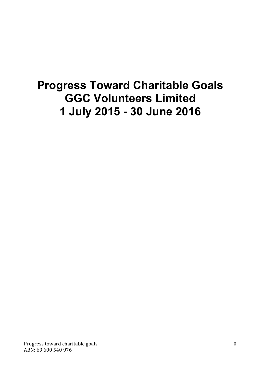# **Progress Toward Charitable Goals GGC Volunteers Limited 1 July 2015 - 30 June 2016**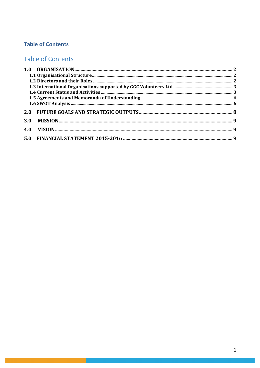# **Table of Contents**

# Table of Contents

| 3.0 |  |
|-----|--|
| 4.0 |  |
|     |  |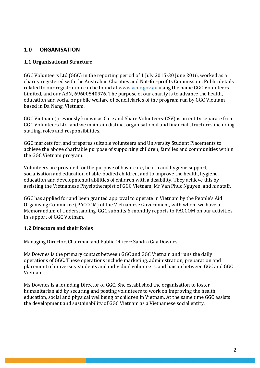# **1.0 ORGANISATION**

# **1.1 Organisational Structure**

GGC Volunteers Ltd (GGC) in the reporting period of 1 July 2015-30 June 2016, worked as a charity registered with the Australian Charities and Not-for-profits Commission. Public details related to our registration can be found at www.acnc.gov.au using the name GGC Volunteers Limited, and our ABN, 69600540976. The purpose of our charity is to advance the health, education and social or public welfare of beneficiaries of the program run by GGC Vietnam based in Da Nang, Vietnam.

GGC Vietnam (previously known as Care and Share Volunteers-CSV) is an entity separate from GGC Volunteers Ltd, and we maintain distinct organisational and financial structures including staffing, roles and responsibilities.

GGC markets for, and prepares suitable volunteers and University Student Placements to achieve the above charitable purpose of supporting children, families and communities within the GGC Vietnam program.

Volunteers are provided for the purpose of basic care, health and hygiene support, socialisation and education of able-bodied children, and to improve the health, hygiene, education and developmental abilities of children with a disability. They achieve this by assisting the Vietnamese Physiotherapist of GGC Vietnam, Mr Van Phuc Nguyen, and his staff.

GGC has applied for and been granted approval to operate in Vietnam by the People's Aid Organising Committee (PACCOM) of the Vietnamese Government, with whom we have a Memorandum of Understanding. GGC submits 6-monthly reports to PACCOM on our activities in support of GGC Vietnam.

# **1.2 Directors and their Roles**

#### Managing Director, Chairman and Public Officer: Sandra Gay Downes

Ms Downes is the primary contact between GGC and GGC Vietnam and runs the daily operations of GGC. These operations include marketing, administration, preparation and placement of university students and individual volunteers, and liaison between GGC and GGC Vietnam.

Ms Downes is a founding Director of GGC. She established the organisation to foster humanitarian aid by securing and posting volunteers to work on improving the health, education, social and physical wellbeing of children in Vietnam. At the same time GGC assists the development and sustainability of GGC Vietnam as a Vietnamese social entity.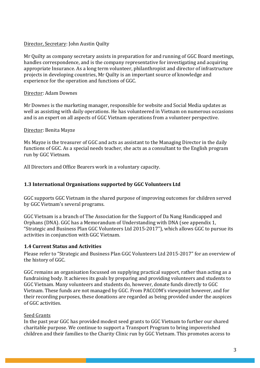# Director, Secretary: John Austin Quilty

Mr Quilty as company secretary assists in preparation for and running of GGC Board meetings, handles correspondence, and is the company representative for investigating and acquiring appropriate Insurance. As a long term volunteer, philanthropist and director of infrastructure projects in developing countries, Mr Quilty is an important source of knowledge and experience for the operation and functions of GGC.

#### Director: Adam Downes

Mr Downes is the marketing manager, responsible for website and Social Media updates as well as assisting with daily operations. He has volunteered in Vietnam on numerous occasions and is an expert on all aspects of GGC Vietnam operations from a volunteer perspective.

#### Director: Benita Mayze

Ms Mayze is the treasurer of GGC and acts as assistant to the Managing Director in the daily functions of GGC. As a special needs teacher, she acts as a consultant to the English program run by GGC Vietnam.

All Directors and Office Bearers work in a voluntary capacity.

# **1.3 International Organisations supported by GGC Volunteers Ltd**

GGC supports GGC Vietnam in the shared purpose of improving outcomes for children served by GGC Vietnam's several programs.

GGC Vietnam is a branch of The Association for the Support of Da Nang Handicapped and Orphans (DNA). GGC has a Memorandum of Understanding with DNA (see appendix 1, "Strategic and Business Plan GGC Volunteers Ltd 2015-2017"), which allows GGC to pursue its activities in conjunction with GGC Vietnam.

# **1.4 Current Status and Activities**

Please refer to "Strategic and Business Plan GGC Volunteers Ltd 2015-2017" for an overview of the history of GGC.

GGC remains an organisation focussed on supplying practical support, rather than acting as a fundraising body. It achieves its goals by preparing and providing volunteers and students to GGC Vietnam. Many volunteers and students do, however, donate funds directly to GGC Vietnam. These funds are not managed by GGC. From PACCOM's viewpoint however, and for their recording purposes, these donations are regarded as being provided under the auspices of GGC activities.

# Seed Grants

In the past year GGC has provided modest seed grants to GGC Vietnam to further our shared charitable purpose. We continue to support a Transport Program to bring impoverished children and their families to the Charity Clinic run by GGC Vietnam. This promotes access to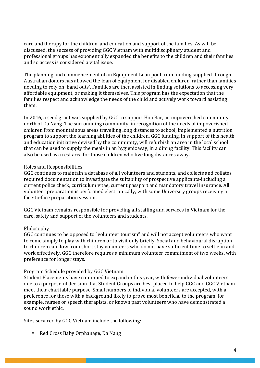care and therapy for the children, and education and support of the families. As will be discussed, the success of providing GGC Vietnam with multidisciplinary student and professional groups has exponentially expanded the benefits to the children and their families and so access is considered a vital issue.

The planning and commencement of an Equipment Loan pool from funding supplied through Australian donors has allowed the loan of equipment for disabled children, rather than families needing to rely on 'hand outs'. Families are then assisted in finding solutions to accessing very affordable equipment, or making it themselves. This program has the expectation that the families respect and acknowledge the needs of the child and actively work toward assisting them.

In 2016, a seed grant was supplied by GGC to support Hoa Bac, an impoverished community north of Da Nang. The surrounding community, in recognition of the needs of impoverished children from mountainous areas travelling long distances to school, implemented a nutrition program to support the learning abilities of the children. GGC funding, in support of this health and education initiative devised by the community, will refurbish an area in the local school that can be used to supply the meals in an hygienic way, in a dining facility. This facility can also be used as a rest area for those children who live long distances away.

#### Roles and Responsibilities

GGC continues to maintain a database of all volunteers and students, and collects and collates required documentation to investigate the suitability of prospective applicants-including a current police check, curriculum vitae, current passport and mandatory travel insurance. All volunteer preparation is performed electronically, with some University groups receiving a face-to-face preparation session.

GGC Vietnam remains responsible for providing all staffing and services in Vietnam for the care, safety and support of the volunteers and students.

# Philosophy

GGC continues to be opposed to "volunteer tourism" and will not accept volunteers who want to come simply to play with children or to visit only briefly. Social and behavioural disruption to children can flow from short stay volunteers who do not have sufficient time to settle in and work effectively. GGC therefore requires a minimum volunteer commitment of two weeks, with preference for longer stays.

#### Program Schedule provided by GGC Vietnam

Student Placements have continued to expand in this year, with fewer individual volunteers due to a purposeful decision that Student Groups are best placed to help GGC and GGC Vietnam meet their charitable purpose. Small numbers of individual volunteers are accepted, with a preference for those with a background likely to prove most beneficial to the program, for example, nurses or speech therapists, or known past volunteers who have demonstrated a sound work ethic.

Sites serviced by GGC Vietnam include the following:

• Red Cross Baby Orphanage, Da Nang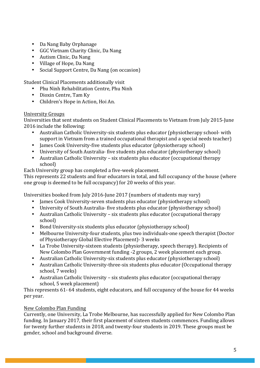- Da Nang Baby Orphanage
- GGC Vietnam Charity Clinic, Da Nang
- Autism Clinic, Da Nang
- Village of Hope, Da Nang
- Social Support Centre, Da Nang (on occasion)

Student Clinical Placements additionally visit

- Phu Ninh Rehabilitation Centre, Phu Ninh
- Dioxin Centre, Tam Ky
- Children's Hope in Action, Hoi An.

# University Groups

Universities that sent students on Student Clinical Placements to Vietnam from July 2015-June 2016 include the following:

- Australian Catholic University-six students plus educator (physiotherapy school- with support in Vietnam from a trained occupational therapist and a special needs teacher)
- James Cook University-five students plus educator (physiotherapy school)
- University of South Australia- five students plus educator (physiotherapy school)
- Australian Catholic University six students plus educator (occupational therapy school)

Each University group has completed a five-week placement.

This represents 22 students and four educators in total, and full occupancy of the house (where one group is deemed to be full occupancy) for 20 weeks of this year.

Universities booked from July 2016-June 2017 (numbers of students may vary)

- James Cook University-seven students plus educator (physiotherapy school)
- University of South Australia- five students plus educator (physiotherapy school)
- Australian Catholic University six students plus educator (occupational therapy school)
- Bond University-six students plus educator (physiotherapy school)
- Melbourne University-four students, plus two individuals-one speech therapist (Doctor of Physiotherapy Global Elective Placement) - 3 weeks
- La Trobe University-sixteen students (physiotherapy, speech therapy). Recipients of New Colombo Plan Government funding -2 groups, 2 week placement each group.
- Australian Catholic University-six students plus educator (physiotherapy school)
- Australian Catholic University-three-six students plus educator (Occupational therapy school, 7 weeks)
- Australian Catholic University six students plus educator (occupational therapy school, 5 week placement)

This represents 61-64 students, eight educators, and full occupancy of the house for 44 weeks per year.

# New Colombo Plan Funding

Currently, one University, La Trobe Melbourne, has successfully applied for New Colombo Plan funding. In January 2017, their first placement of sixteen students commences. Funding allows for twenty further students in 2018, and twenty-four students in 2019. These groups must be gender, school and background diverse.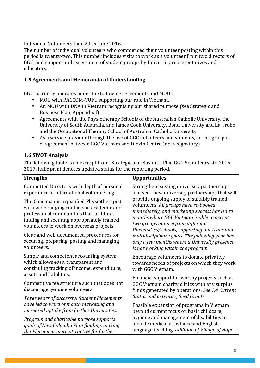# Individual Volunteers June 2015-June 2016

The number of individual volunteers who commenced their volunteer posting within this period is twenty-two. This number includes visits to work as a volunteer from two directors of GGC, and support and assessment of student groups by University representatives and educators. 

## 1.5 **Agreements and Memoranda of Understanding**

GGC currently operates under the following agreements and MOUs:

- MOU with PACCOM-VUFU supporting our role in Vietnam.
- An MOU with DNA in Vietnam recognising our shared purpose (see Strategic and Business Plan, Appendix I)
- Agreements with the Physiotherapy Schools of the Australian Catholic University, the University of South Australia, and James Cook University, Bond University and La Trobe and the Occupational Therapy School of Australian Catholic University.
- As a service provider through the use of GGC volunteers and students, an integral part of agreement between GGC Vietnam and Dioxin Centre (not a signatory).

# **1.6 SWOT Analysis**

The following table is an excerpt from "Strategic and Business Plan GGC Volunteers Ltd 2015-2017. Italic print denotes updated status for the reporting period.

| <b>Strengths</b>                                                                                                                                                                                                                 | <b>Opportunities</b>                                                                                                                                                                                                                                                                   |                                                                                                                                   |
|----------------------------------------------------------------------------------------------------------------------------------------------------------------------------------------------------------------------------------|----------------------------------------------------------------------------------------------------------------------------------------------------------------------------------------------------------------------------------------------------------------------------------------|-----------------------------------------------------------------------------------------------------------------------------------|
| Committed Directors with depth of personal<br>experience in international volunteering.                                                                                                                                          | Strengthen existing university partnerships<br>and seek new university partnerships that will                                                                                                                                                                                          |                                                                                                                                   |
| The Chairman is a qualified Physiotherapist<br>with wide ranging contacts in academic and<br>professional communities that facilitates<br>finding and securing appropriately trained<br>volunteers to work on overseas projects. | provide ongoing supply of suitably trained<br>volunteers. All groups have re-booked<br>immediately, and marketing success has led to<br>months where GGC Vietnam is able to accept<br>two groups at once from different<br>Universities/schools, supporting our trans and              |                                                                                                                                   |
| Clear and well documented procedures for<br>securing, preparing, posting and managing<br>volunteers.                                                                                                                             | multidisciplinary goals. The following year has<br>only a few months where a University presence<br>is not working within the program.                                                                                                                                                 |                                                                                                                                   |
| Simple and competent accounting system,<br>which allows easy, transparent and<br>continuing tracking of income, expenditure,<br>assets and liabilities.                                                                          | Encourage volunteers to donate privately<br>towards needs of projects on which they work<br>with GGC Vietnam.                                                                                                                                                                          |                                                                                                                                   |
| Competitive fee structure such that does not<br>discourage genuine volunteers.<br>Three years of successful Student Placements<br>have led to word of mouth marketing and<br>increased uptake from further Universities.         | Financial support for worthy projects such as<br>GGC Vietnam charity clinics with any surplus<br>funds generated by operations. See 1.4 Current<br><b>Status and activities, Seed Grants.</b><br>Possible expansion of programs in Vietnam<br>beyond current focus on basic childcare, |                                                                                                                                   |
|                                                                                                                                                                                                                                  |                                                                                                                                                                                                                                                                                        | Program and charitable purpose supports<br>goals of New Colombo Plan funding, making<br>the Placement more attractive for further |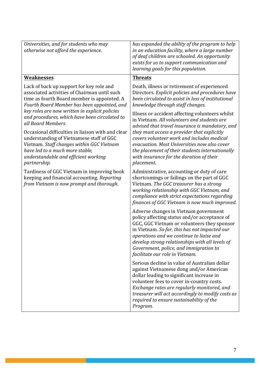| Universities, and for students who may                                                                                                                                                                                                                                                                                                                                                                                                                                                                                                                                                                                                                                                            | has expanded the ability of the program to help                                                                                                                                                                                                                                                                                                                                                                                                                                                                                                                                                                                                                                                                                                                                                |
|---------------------------------------------------------------------------------------------------------------------------------------------------------------------------------------------------------------------------------------------------------------------------------------------------------------------------------------------------------------------------------------------------------------------------------------------------------------------------------------------------------------------------------------------------------------------------------------------------------------------------------------------------------------------------------------------------|------------------------------------------------------------------------------------------------------------------------------------------------------------------------------------------------------------------------------------------------------------------------------------------------------------------------------------------------------------------------------------------------------------------------------------------------------------------------------------------------------------------------------------------------------------------------------------------------------------------------------------------------------------------------------------------------------------------------------------------------------------------------------------------------|
| otherwise not afford the experience.                                                                                                                                                                                                                                                                                                                                                                                                                                                                                                                                                                                                                                                              | in an education facility, where a large number<br>of deaf children are schooled. An opportunity<br>exists for us to support communication and<br>learning goals for this population.                                                                                                                                                                                                                                                                                                                                                                                                                                                                                                                                                                                                           |
| <b>Weaknesses</b>                                                                                                                                                                                                                                                                                                                                                                                                                                                                                                                                                                                                                                                                                 | <b>Threats</b>                                                                                                                                                                                                                                                                                                                                                                                                                                                                                                                                                                                                                                                                                                                                                                                 |
| Lack of back up support for key role and<br>associated activities of Chairman until such<br>time as fourth Board member is appointed. A<br>Fourth Board Member has been appointed, and<br>key roles are now written in explicit policies<br>and procedures, which have been circulated to<br>all Board Members.<br>Occasional difficulties in liaison with and clear<br>understanding of Vietnamese staff of GGC<br>Vietnam. Staff changes within GGC Vietnam<br>have led to a much more stable,<br>understandable and efficient working<br>partnership.<br>Tardiness of GGC Vietnam in improving book<br>keeping and financial accounting. Reporting<br>from Vietnam is now prompt and thorough. | Death, illness or retirement of experienced<br>Directors. Explicit policies and procedures have<br>been circulated to assist in loss of institutional<br>knowledge through staff changes.<br>Illness or accident affecting volunteers whilst<br>in Vietnam. All volunteers and students are<br>advised that travel insurance is mandatory, and<br>they must access a provider that explicitly<br>covers volunteer work and includes medical<br>evacuation. Most Universities now also cover<br>the placement of their students internationally<br>with insurance for the duration of their<br>placement.<br>Administrative, accounting or duty of care<br>shortcomings or failings on the part of GGC<br>Vietnam. The GGC treasurer has a strong<br>working relationship with GGC Vietnam, and |
|                                                                                                                                                                                                                                                                                                                                                                                                                                                                                                                                                                                                                                                                                                   | compliance with strict expectations regarding<br>finances of GGC Vietnam is now much improved.                                                                                                                                                                                                                                                                                                                                                                                                                                                                                                                                                                                                                                                                                                 |
|                                                                                                                                                                                                                                                                                                                                                                                                                                                                                                                                                                                                                                                                                                   | Adverse changes in Vietnam government<br>policy affecting status and/or acceptance of<br>GGC, GGC Vietnam or volunteers they sponsor<br>in Vietnam. So far, this has not impacted our<br>operations and we continue to liaise and<br>develop strong relationships with all levels of<br>Government, police, and immigration to<br>facilitate our role in Vietnam.                                                                                                                                                                                                                                                                                                                                                                                                                              |
|                                                                                                                                                                                                                                                                                                                                                                                                                                                                                                                                                                                                                                                                                                   | Serious decline in value of Australian dollar<br>against Vietnamese dong and/or American<br>dollar leading to significant increase in<br>volunteer fees to cover in-country costs.<br>Exchange rates are regularly monitored, and<br>treasurer will act accordingly to modify costs as<br>required to ensure sustainability of the<br>Program.                                                                                                                                                                                                                                                                                                                                                                                                                                                 |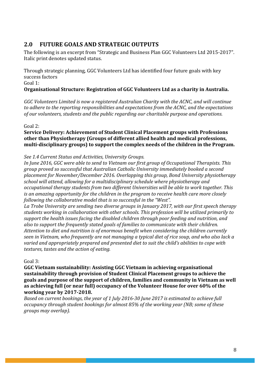# **2.0 FUTURE GOALS AND STRATEGIC OUTPUTS**

The following is an excerpt from "Strategic and Business Plan GGC Volunteers Ltd 2015-2017". Italic print denotes updated status.

Through strategic planning, GGC Volunteers Ltd has identified four future goals with key success factors

Goal 1:

# **Organisational Structure: Registration of GGC Volunteers Ltd as a charity in Australia.**

GGC Volunteers Limited is now a registered Australian Charity with the ACNC, and will continue to adhere to the reporting responsibilities and expectations from the ACNC, and the expectations of our volunteers, students and the public regarding our charitable purpose and operations.

Goal 2:

# **Service Delivery: Achievement of Student Clinical Placement groups with Professions** other than Physiotherapy (Groups of different allied health and medical professions, multi-disciplinary groups) to support the complex needs of the children in the Program.

See 1.4 Current Status and Activities, University Groups.

*In June 2016, GGC were able to send to Vietnam our first group of Occupational Therapists. This group proved so successful that Australian Catholic University immediately booked a second placement for November/December 2016. Overlapping this group, Bond University physiotherapy* school will attend, allowing for a multidisciplinary schedule where physiotherapy and *occupational therapy students from two different Universities will be able to work together. This is* an amazing opportunity for the children in the program to receive health care more closely *following the collaborative model that is so successful in the "West".* 

La Trobe University are sending two diverse groups in January 2017, with our first speech therapy students working in collaboration with other schools. This profession will be utilized primarily to support the health issues facing the disabled children through poor feeding and nutrition, and also to support the frequently stated goals of families to communicate with their children. Attention to diet and nutrition is of enormous benefit when considering the children currently *seen* in Vietnam, who frequently are not managing a typical diet of rice soup, and who also lack a varied and appropriately prepared and presented diet to suit the child's abilities to cope with *textures, tastes and the action of eating.* 

 $Goal 3$ :

**GGC** Vietnam sustainability: Assisting GGC Vietnam in achieving organisational **sustainability through provision of Student Clinical Placement groups to achieve the** goals and purpose of the support of children, families and community in Vietnam as well as achieving full (or near full) occupancy of the Volunteer House for over 60% of the **working year by 2017-2018.**

*Based on current bookings, the year of 1 July 2016-30 June 2017 is estimated to achieve full occupancy through student bookings for almost 85% of the working year (NB; some of these groups may overlap).*